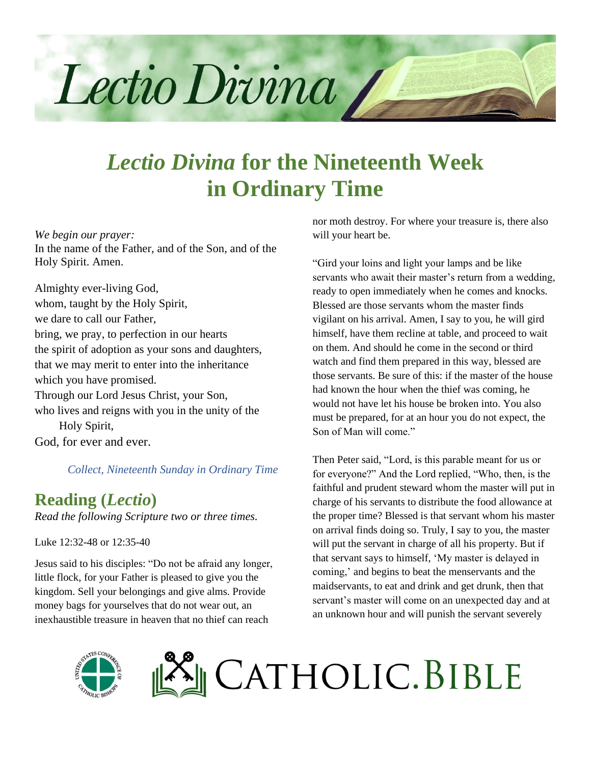

# *Lectio Divina* **for the Nineteenth Week in Ordinary Time**

#### *We begin our prayer:*

In the name of the Father, and of the Son, and of the Holy Spirit. Amen.

Almighty ever-living God, whom, taught by the Holy Spirit, we dare to call our Father, bring, we pray, to perfection in our hearts the spirit of adoption as your sons and daughters, that we may merit to enter into the inheritance which you have promised. Through our Lord Jesus Christ, your Son, who lives and reigns with you in the unity of the Holy Spirit, God, for ever and ever.

*Collect, Nineteenth Sunday in Ordinary Time*

#### **Reading (***Lectio***)**

*Read the following Scripture two or three times.*

Luke 12:32-48 or 12:35-40

Jesus said to his disciples: "Do not be afraid any longer, little flock, for your Father is pleased to give you the kingdom. Sell your belongings and give alms. Provide money bags for yourselves that do not wear out, an inexhaustible treasure in heaven that no thief can reach

nor moth destroy. For where your treasure is, there also will your heart be.

"Gird your loins and light your lamps and be like servants who await their master's return from a wedding, ready to open immediately when he comes and knocks. Blessed are those servants whom the master finds vigilant on his arrival. Amen, I say to you, he will gird himself, have them recline at table, and proceed to wait on them. And should he come in the second or third watch and find them prepared in this way, blessed are those servants. Be sure of this: if the master of the house had known the hour when the thief was coming, he would not have let his house be broken into. You also must be prepared, for at an hour you do not expect, the Son of Man will come."

Then Peter said, "Lord, is this parable meant for us or for everyone?" And the Lord replied, "Who, then, is the faithful and prudent steward whom the master will put in charge of his servants to distribute the food allowance at the proper time? Blessed is that servant whom his master on arrival finds doing so. Truly, I say to you, the master will put the servant in charge of all his property. But if that servant says to himself, 'My master is delayed in coming,' and begins to beat the menservants and the maidservants, to eat and drink and get drunk, then that servant's master will come on an unexpected day and at an unknown hour and will punish the servant severely